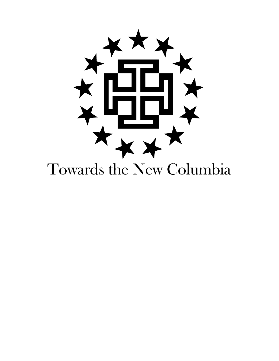

## Towards the New Columbia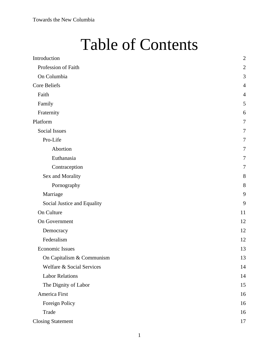## Table of Contents

| Introduction                | $\mathbf{2}$   |
|-----------------------------|----------------|
| Profession of Faith         | $\mathbf{2}$   |
| On Columbia                 | 3              |
| <b>Core Beliefs</b>         | $\overline{4}$ |
| Faith                       | $\overline{4}$ |
| Family                      | 5              |
| Fraternity                  | 6              |
| Platform                    | 7              |
| <b>Social Issues</b>        | 7              |
| Pro-Life                    | 7              |
| Abortion                    | 7              |
| Euthanasia                  | 7              |
| Contraception               | $\overline{7}$ |
| Sex and Morality            | 8              |
| Pornography                 | 8              |
| Marriage                    | 9              |
| Social Justice and Equality | 9              |
| On Culture                  | 11             |
| On Government               | 12             |
| Democracy                   | 12             |
| Federalism                  | 12             |
| <b>Economic Issues</b>      | 13             |
| On Capitalism & Communism   | 13             |
| Welfare & Social Services   | 14             |
| <b>Labor Relations</b>      | 14             |
| The Dignity of Labor        | 15             |
| America First               | 16             |
| Foreign Policy              | 16             |
| Trade                       | 16             |
| <b>Closing Statement</b>    | 17             |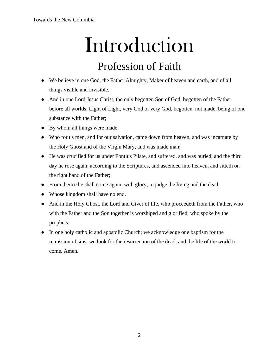# Introduction

## Profession of Faith

- <span id="page-2-1"></span><span id="page-2-0"></span>● We believe in one God, the Father Almighty, Maker of heaven and earth, and of all things visible and invisible.
- And in one Lord Jesus Christ, the only begotten Son of God, begotten of the Father before all worlds, Light of Light, very God of very God, begotten, not made, being of one substance with the Father;
- By whom all things were made;
- Who for us men, and for our salvation, came down from heaven, and was incarnate by the Holy Ghost and of the Virgin Mary, and was made man;
- He was crucified for us under Pontius Pilate, and suffered, and was buried, and the third day he rose again, according to the Scriptures, and ascended into heaven, and sitteth on the right hand of the Father;
- From thence he shall come again, with glory, to judge the living and the dead;
- Whose kingdom shall have no end.
- And in the Holy Ghost, the Lord and Giver of life, who proceedeth from the Father, who with the Father and the Son together is worshiped and glorified, who spoke by the prophets.
- In one holy catholic and apostolic Church; we acknowledge one baptism for the remission of sins; we look for the resurrection of the dead, and the life of the world to come. Amen.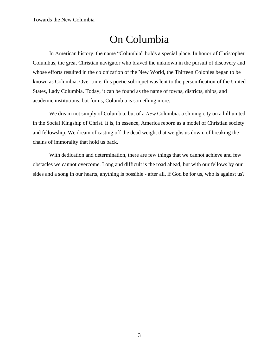## On Columbia

<span id="page-3-0"></span>In American history, the name "Columbia" holds a special place. In honor of Christopher Columbus, the great Christian navigator who braved the unknown in the pursuit of discovery and whose efforts resulted in the colonization of the New World, the Thirteen Colonies began to be known as Columbia. Over time, this poetic sobriquet was lent to the personification of the United States, Lady Columbia. Today, it can be found as the name of towns, districts, ships, and academic institutions, but for us, Columbia is something more.

We dream not simply of Columbia, but of a *New* Columbia: a shining city on a hill united in the Social Kingship of Christ. It is, in essence, America reborn as a model of Christian society and fellowship. We dream of casting off the dead weight that weighs us down, of breaking the chains of immorality that hold us back.

With dedication and determination, there are few things that we cannot achieve and few obstacles we cannot overcome. Long and difficult is the road ahead, but with our fellows by our sides and a song in our hearts, anything is possible - after all, if God be for us, who is against us?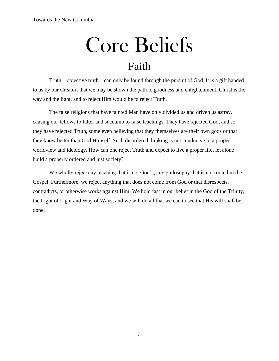# Core Beliefs

## Faith

<span id="page-4-1"></span><span id="page-4-0"></span>Truth – objective truth – can only be found through the pursuit of God. It is a gift handed to us by our Creator, that we may be shown the path to goodness and enlightenment. Christ is the way and the light, and to reject Him would be to reject Truth.

The false religions that have tainted Man have only divided us and driven us astray, causing our fellows to falter and succumb to false teachings. They have rejected God, and so they have rejected Truth, some even believing that they themselves are their own gods or that they know better than God Himself. Such disordered thinking is not conducive to a proper worldview and ideology. How can one reject Truth and expect to live a proper life, let alone build a properly ordered and just society?

We wholly reject any teaching that is not God's, any philosophy that is not rooted in the Gospel. Furthermore, we reject anything that does not come from God or that disrespects, contradicts, or otherwise works against Him. We hold fast in our belief in the God of the Trinity, the Light of Light and Way of Ways, and we will do all that we can to see that His will shall be done.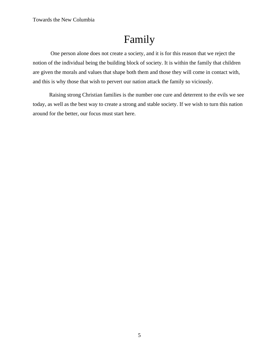## Family

<span id="page-5-0"></span>One person alone does not create a society, and it is for this reason that we reject the notion of the individual being the building block of society. It is within the family that children are given the morals and values that shape both them and those they will come in contact with, and this is why those that wish to pervert our nation attack the family so viciously.

Raising strong Christian families is the number one cure and deterrent to the evils we see today, as well as the best way to create a strong and stable society. If we wish to turn this nation around for the better, our focus must start here.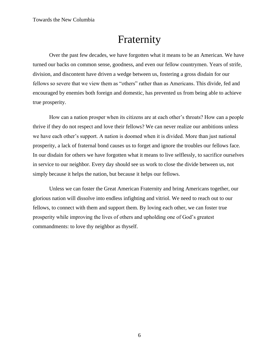## Fraternity

<span id="page-6-0"></span>Over the past few decades, we have forgotten what it means to be an American. We have turned our backs on common sense, goodness, and even our fellow countrymen. Years of strife, division, and discontent have driven a wedge between us, fostering a gross disdain for our fellows so severe that we view them as "others" rather than as Americans. This divide, fed and encouraged by enemies both foreign and domestic, has prevented us from being able to achieve true prosperity.

How can a nation prosper when its citizens are at each other's throats? How can a people thrive if they do not respect and love their fellows? We can never realize our ambitions unless we have each other's support. A nation is doomed when it is divided. More than just national prosperity, a lack of fraternal bond causes us to forget and ignore the troubles our fellows face. In our disdain for others we have forgotten what it means to live selflessly, to sacrifice ourselves in service to our neighbor. Every day should see us work to close the divide between us, not simply because it helps the nation, but because it helps our fellows.

Unless we can foster the Great American Fraternity and bring Americans together, our glorious nation will dissolve into endless infighting and vitriol. We need to reach out to our fellows, to connect with them and support them. By loving each other, we can foster true prosperity while improving the lives of others and upholding one of God's greatest commandments: to love thy neighbor as thyself.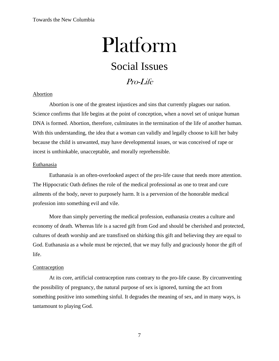## Platform

## Social Issues

Pro-Life

#### <span id="page-7-3"></span><span id="page-7-2"></span><span id="page-7-1"></span><span id="page-7-0"></span>Abortion

Abortion is one of the greatest injustices and sins that currently plagues our nation. Science confirms that life begins at the point of conception, when a novel set of unique human DNA is formed. Abortion, therefore, culminates in the termination of the life of another human. With this understanding, the idea that a woman can validly and legally choose to kill her baby because the child is unwanted, may have developmental issues, or was conceived of rape or incest is unthinkable, unacceptable, and morally reprehensible.

#### <span id="page-7-4"></span>Euthanasia

Euthanasia is an often-overlooked aspect of the pro-life cause that needs more attention. The Hippocratic Oath defines the role of the medical professional as one to treat and cure ailments of the body, never to purposely harm. It is a perversion of the honorable medical profession into something evil and vile.

More than simply perverting the medical profession, euthanasia creates a culture and economy of death. Whereas life is a sacred gift from God and should be cherished and protected, cultures of death worship and are transfixed on shirking this gift and believing they are equal to God. Euthanasia as a whole must be rejected, that we may fully and graciously honor the gift of life.

#### <span id="page-7-5"></span>Contraception

At its core, artificial contraception runs contrary to the pro-life cause. By circumventing the possibility of pregnancy, the natural purpose of sex is ignored, turning the act from something positive into something sinful. It degrades the meaning of sex, and in many ways, is tantamount to playing God.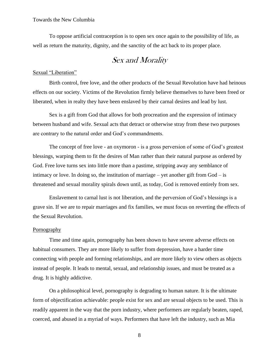To oppose artificial contraception is to open sex once again to the possibility of life, as well as return the maturity, dignity, and the sanctity of the act back to its proper place.

## Sex and Morality

#### <span id="page-8-0"></span>Sexual "Liberation"

Birth control, free love, and the other products of the Sexual Revolution have had heinous effects on our society. Victims of the Revolution firmly believe themselves to have been freed or liberated, when in realty they have been enslaved by their carnal desires and lead by lust.

Sex is a gift from God that allows for both procreation and the expression of intimacy between husband and wife. Sexual acts that detract or otherwise stray from these two purposes are contrary to the natural order and God's commandments.

The concept of free love - an oxymoron - is a gross perversion of some of God's greatest blessings, warping them to fit the desires of Man rather than their natural purpose as ordered by God. Free love turns sex into little more than a pastime, stripping away any semblance of intimacy or love. In doing so, the institution of marriage – yet another gift from  $God - is$ threatened and sexual morality spirals down until, as today, God is removed entirely from sex.

Enslavement to carnal lust is not liberation, and the perversion of God's blessings is a grave sin. If we are to repair marriages and fix families, we must focus on reverting the effects of the Sexual Revolution.

#### <span id="page-8-1"></span>**Pornography**

Time and time again, pornography has been shown to have severe adverse effects on habitual consumers. They are more likely to suffer from depression, have a harder time connecting with people and forming relationships, and are more likely to view others as objects instead of people. It leads to mental, sexual, and relationship issues, and must be treated as a drug. It is highly addictive.

On a philosophical level, pornography is degrading to human nature. It is the ultimate form of objectification achievable: people exist for sex and are sexual objects to be used. This is readily apparent in the way that the porn industry, where performers are regularly beaten, raped, coerced, and abused in a myriad of ways. Performers that have left the industry, such as Mia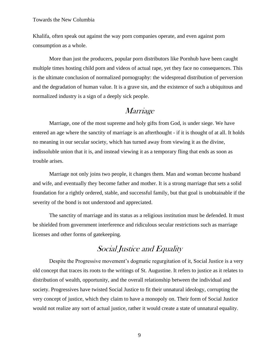Khalifa, often speak out against the way porn companies operate, and even against porn consumption as a whole.

More than just the producers, popular porn distributors like Pornhub have been caught multiple times hosting child porn and videos of actual rape, yet they face no consequences. This is the ultimate conclusion of normalized pornography: the widespread distribution of perversion and the degradation of human value. It is a grave sin, and the existence of such a ubiquitous and normalized industry is a sign of a deeply sick people.

## Marriage

<span id="page-9-0"></span>Marriage, one of the most supreme and holy gifts from God, is under siege. We have entered an age where the sanctity of marriage is an afterthought - if it is thought of at all. It holds no meaning in our secular society, which has turned away from viewing it as the divine, indissoluble union that it is, and instead viewing it as a temporary fling that ends as soon as trouble arises.

Marriage not only joins two people, it changes them. Man and woman become husband and wife, and eventually they become father and mother. It is a strong marriage that sets a solid foundation for a rightly ordered, stable, and successful family, but that goal is unobtainable if the severity of the bond is not understood and appreciated.

The sanctity of marriage and its status as a religious institution must be defended. It must be shielded from government interference and ridiculous secular restrictions such as marriage licenses and other forms of gatekeeping.

## Social Justice and Equality

<span id="page-9-1"></span>Despite the Progressive movement's dogmatic regurgitation of it, Social Justice is a very old concept that traces its roots to the writings of St. Augustine. It refers to justice as it relates to distribution of wealth, opportunity, and the overall relationship between the individual and society. Progressives have twisted Social Justice to fit their unnatural ideology, corrupting the very concept of justice, which they claim to have a monopoly on. Their form of Social Justice would not realize any sort of actual justice, rather it would create a state of unnatural equality.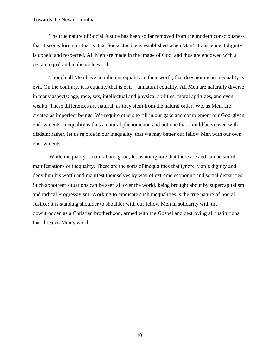The true nature of Social Justice has been so far removed from the modern consciousness that it seems foreign - that is, that Social Justice is established when Man's transcendent dignity is upheld and respected. All Men are made in the image of God, and thus are endowed with a certain equal and inalienable worth.

Though all Men have an inherent equality in their worth, that does not mean inequality is evil. On the contrary, it is equality that is evil – unnatural equality. All Men are naturally diverse in many aspects: age, race, sex, intellectual and physical abilities, moral aptitudes, and even wealth. These differences are natural, as they stem from the natural order. We, as Men, are created as imperfect beings. We require others to fill in our gaps and complement our God-given endowments. Inequality is thus a natural phenomenon and not one that should be viewed with disdain; rather, let us rejoice in our inequality, that we may better our fellow Men with our own endowments.

While inequality is natural and good, let us not ignore that there are and can be sinful manifestations of inequality. These are the sorts of inequalities that ignore Man's dignity and deny him his worth and manifest themselves by way of extreme economic and social disparities. Such abhorrent situations can be seen all over the world, being brought about by supercapitalism and radical Progressivism. Working to eradicate such inequalities is the true nature of Social Justice: it is standing shoulder to shoulder with our fellow Men in solidarity with the downtrodden as a Christian brotherhood, armed with the Gospel and destroying all institutions that threaten Man's worth.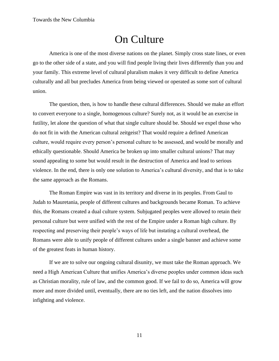## On Culture

<span id="page-11-0"></span>America is one of the most diverse nations on the planet. Simply cross state lines, or even go to the other side of a state, and you will find people living their lives differently than you and your family. This extreme level of cultural pluralism makes it very difficult to define America culturally and all but precludes America from being viewed or operated as some sort of cultural union.

The question, then, is how to handle these cultural differences. Should we make an effort to convert everyone to a single, homogenous culture? Surely not, as it would be an exercise in futility, let alone the question of what that single culture should be. Should we expel those who do not fit in with the American cultural zeitgeist? That would require a defined American culture, would require every person's personal culture to be assessed, and would be morally and ethically questionable. Should America be broken up into smaller cultural unions? That may sound appealing to some but would result in the destruction of America and lead to serious violence. In the end, there is only one solution to America's cultural diversity, and that is to take the same approach as the Romans.

The Roman Empire was vast in its territory and diverse in its peoples. From Gaul to Judah to Mauretania, people of different cultures and backgrounds became Roman. To achieve this, the Romans created a dual culture system. Subjugated peoples were allowed to retain their personal culture but were unified with the rest of the Empire under a Roman high culture. By respecting and preserving their people's ways of life but instating a cultural overhead, the Romans were able to unify people of different cultures under a single banner and achieve some of the greatest feats in human history.

If we are to solve our ongoing cultural disunity, we must take the Roman approach. We need a High American Culture that unifies America's diverse peoples under common ideas such as Christian morality, rule of law, and the common good. If we fail to do so, America will grow more and more divided until, eventually, there are no ties left, and the nation dissolves into infighting and violence.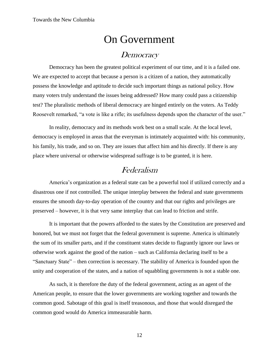## On Government **Democracy**

<span id="page-12-1"></span><span id="page-12-0"></span>Democracy has been the greatest political experiment of our time, and it is a failed one. We are expected to accept that because a person is a citizen of a nation, they automatically possess the knowledge and aptitude to decide such important things as national policy. How many voters truly understand the issues being addressed? How many could pass a citizenship test? The pluralistic methods of liberal democracy are hinged entirely on the voters. As Teddy Roosevelt remarked, "a vote is like a rifle; its usefulness depends upon the character of the user."

In reality, democracy and its methods work best on a small scale. At the local level, democracy is employed in areas that the everyman is intimately acquainted with: his community, his family, his trade, and so on. They are issues that affect him and his directly. If there is any place where universal or otherwise widespread suffrage is to be granted, it is here.

## Federalism

<span id="page-12-2"></span>America's organization as a federal state can be a powerful tool if utilized correctly and a disastrous one if not controlled. The unique interplay between the federal and state governments ensures the smooth day-to-day operation of the country and that our rights and privileges are preserved – however, it is that very same interplay that can lead to friction and strife.

It is important that the powers afforded to the states by the Constitution are preserved and honored, but we must not forget that the federal government is supreme. America is ultimately the sum of its smaller parts, and if the constituent states decide to flagrantly ignore our laws or otherwise work against the good of the nation – such as California declaring itself to be a "Sanctuary State" – then correction is necessary. The stability of America is founded upon the unity and cooperation of the states, and a nation of squabbling governments is not a stable one.

As such, it is therefore the duty of the federal government, acting as an agent of the American people, to ensure that the lower governments are working together and towards the common good. Sabotage of this goal is itself treasonous, and those that would disregard the common good would do America immeasurable harm.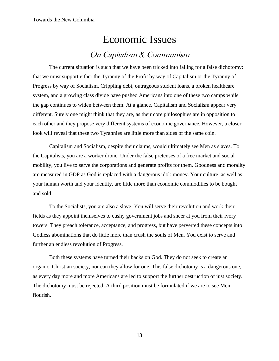## Economic Issues On Capitalism & Communism

<span id="page-13-1"></span><span id="page-13-0"></span>The current situation is such that we have been tricked into falling for a false dichotomy: that we must support either the Tyranny of the Profit by way of Capitalism or the Tyranny of Progress by way of Socialism. Crippling debt, outrageous student loans, a broken healthcare system, and a growing class divide have pushed Americans into one of these two camps while the gap continues to widen between them. At a glance, Capitalism and Socialism appear very different. Surely one might think that they are, as their core philosophies are in opposition to each other and they propose very different systems of economic governance. However, a closer look will reveal that these two Tyrannies are little more than sides of the same coin.

Capitalism and Socialism, despite their claims, would ultimately see Men as slaves. To the Capitalists, you are a worker drone. Under the false pretenses of a free market and social mobility, you live to serve the corporations and generate profits for them. Goodness and morality are measured in GDP as God is replaced with a dangerous idol: money. Your culture, as well as your human worth and your identity, are little more than economic commodities to be bought and sold.

To the Socialists, you are also a slave. You will serve their revolution and work their fields as they appoint themselves to cushy government jobs and sneer at you from their ivory towers. They preach tolerance, acceptance, and progress, but have perverted these concepts into Godless abominations that do little more than crush the souls of Men. You exist to serve and further an endless revolution of Progress.

Both these systems have turned their backs on God. They do not seek to create an organic, Christian society, nor can they allow for one. This false dichotomy is a dangerous one, as every day more and more Americans are led to support the further destruction of just society. The dichotomy must be rejected. A third position must be formulated if we are to see Men flourish.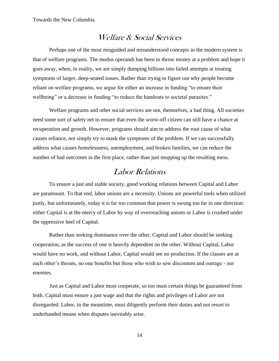## Welfare & Social Services

<span id="page-14-0"></span>Perhaps one of the most misguided and misunderstood concepts in the modern system is that of welfare programs. The modus operandi has been to throw money at a problem and hope it goes away, when, in reality, we are simply dumping billions into failed attempts at treating symptoms of larger, deep-seated issues. Rather than trying to figure out why people become reliant on welfare programs, we argue for either an increase in funding "to ensure their wellbeing" or a decrease in funding "to reduce the handouts to societal parasites."

Welfare programs and other social services are not, themselves, a bad thing. All societies need some sort of safety net to ensure that even the worst-off citizen can still have a chance at recuperation and growth. However, programs should aim to address the root cause of what causes reliance, not simply try to mask the symptoms of the problem. If we can successfully address what causes homelessness, unemployment, and broken families, we can reduce the number of bad outcomes in the first place, rather than just mopping up the resulting mess.

## Labor Relations

<span id="page-14-1"></span>To ensure a just and stable society, good working relations between Capital and Labor are paramount. To that end, labor unions are a necessity. Unions are powerful tools when utilized justly, but unfortunately, today it is far too common that power is swung too far in one direction: either Capital is at the mercy of Labor by way of overreaching unions or Labor is crushed under the oppressive heel of Capital.

Rather than seeking dominance over the other, Capital and Labor should be seeking cooperation, as the success of one is heavily dependent on the other. Without Capital, Labor would have no work, and without Labor, Capital would see no production. If the classes are at each other's throats, no one benefits but those who wish to sow discontent and outrage - our enemies.

Just as Capital and Labor must cooperate, so too must certain things be guaranteed from both. Capital must ensure a just wage and that the rights and privileges of Labor are not disregarded. Labor, in the meantime, must diligently perform their duties and not resort to underhanded means when disputes inevitably arise.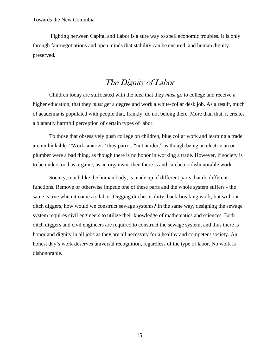Fighting between Capital and Labor is a sure way to spell economic troubles. It is only through fair negotiations and open minds that stability can be ensured, and human dignity preserved.

### The Dignity of Labor

<span id="page-15-0"></span>Children today are suffocated with the idea that they *must* go to college and receive a higher education, that they *must* get a degree and work a white-collar desk job. As a result, much of academia is populated with people that, frankly, do not belong there. More than that, it creates a blatantly harmful perception of certain types of labor.

To those that obsessively push college on children, blue collar work and learning a trade are unthinkable. "Work smarter," they parrot, "not harder," as though being an electrician or plumber were a bad thing, as though there is no honor in working a trade. However, if society is to be understood as organic, as an organism, then there is and can be no dishonorable work.

Society, much like the human body, is made up of different parts that do different functions. Remove or otherwise impede one of these parts and the whole system suffers - the same is true when it comes to labor. Digging ditches is dirty, back-breaking work, but without ditch diggers, how would we construct sewage systems? In the same way, designing the sewage system requires civil engineers to utilize their knowledge of mathematics and sciences. Both ditch diggers and civil engineers are required to construct the sewage system, and thus there is honor and dignity in all jobs as they are all necessary for a healthy and competent society. An honest day's work deserves universal recognition, regardless of the type of labor. No work is dishonorable.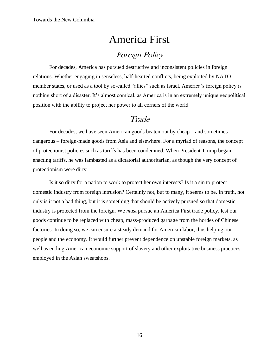## America First Foreign Policy

<span id="page-16-1"></span><span id="page-16-0"></span>For decades, America has pursued destructive and inconsistent policies in foreign relations. Whether engaging in senseless, half-hearted conflicts, being exploited by NATO member states, or used as a tool by so-called "allies" such as Israel, America's foreign policy is nothing short of a disaster. It's almost comical, as America is in an extremely unique geopolitical position with the ability to project her power to all corners of the world.

### Trade

<span id="page-16-2"></span>For decades, we have seen American goods beaten out by cheap – and sometimes dangerous – foreign-made goods from Asia and elsewhere. For a myriad of reasons, the concept of protectionist policies such as tariffs has been condemned. When President Trump began enacting tariffs, he was lambasted as a dictatorial authoritarian, as though the very concept of protectionism were dirty.

Is it so dirty for a nation to work to protect her own interests? Is it a sin to protect domestic industry from foreign intrusion? Certainly not, but to many, it seems to be. In truth, not only is it not a bad thing, but it is something that should be actively pursued so that domestic industry is protected from the foreign. We *must* pursue an America First trade policy, lest our goods continue to be replaced with cheap, mass-produced garbage from the hordes of Chinese factories. In doing so, we can ensure a steady demand for American labor, thus helping our people and the economy. It would further prevent dependence on unstable foreign markets, as well as ending American economic support of slavery and other exploitative business practices employed in the Asian sweatshops.